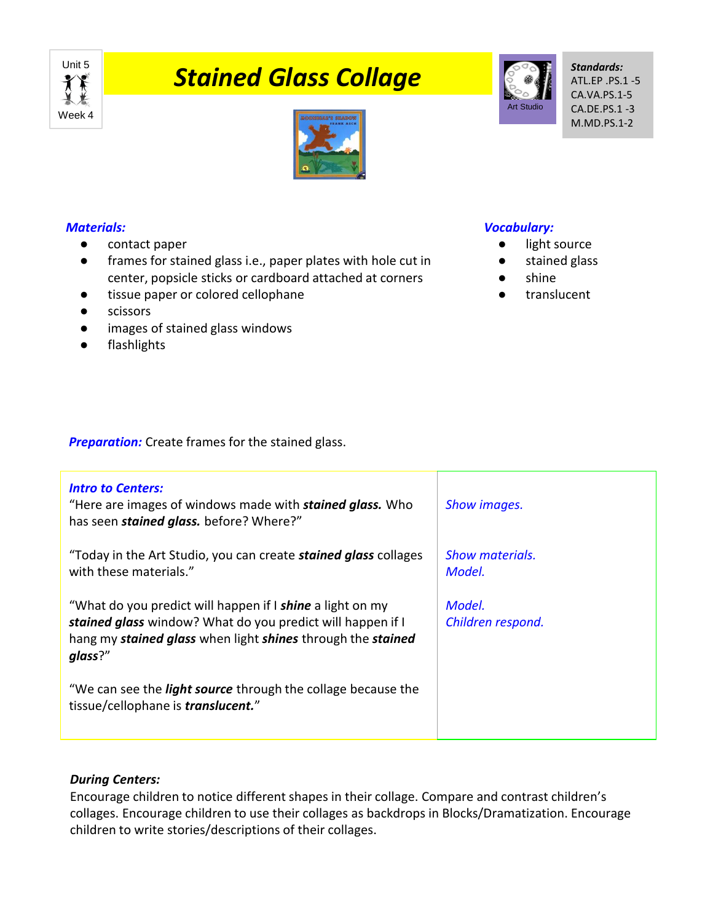

# **The Stained Glass Collage**



*Standards:* ATL.EP .PS.1 -5 CA.VA.PS.1-5 CA.DE.PS.1 -3 M.MD.PS.1-2



## *Materials:*

- contact paper
- frames for stained glass i.e., paper plates with hole cut in center, popsicle sticks or cardboard attached at corners
- tissue paper or colored cellophane
- scissors
- images of stained glass windows
- flashlights

## *Vocabulary:*

- light source
- stained glass
- shine
- translucent

**Preparation:** Create frames for the stained glass.

| <b>Intro to Centers:</b><br>"Here are images of windows made with <b>stained glass.</b> Who<br>has seen <i>stained glass</i> . before? Where?"                                                    | Show images.                |
|---------------------------------------------------------------------------------------------------------------------------------------------------------------------------------------------------|-----------------------------|
| "Today in the Art Studio, you can create <b>stained glass</b> collages<br>with these materials."                                                                                                  | Show materials.<br>Model.   |
| "What do you predict will happen if I shine a light on my<br>stained glass window? What do you predict will happen if I<br>hang my stained glass when light shines through the stained<br>glass?" | Model.<br>Children respond. |
| "We can see the <i>light source</i> through the collage because the<br>tissue/cellophane is <i>translucent.</i> "                                                                                 |                             |

## *During Centers:*

Encourage children to notice different shapes in their collage. Compare and contrast children's collages. Encourage children to use their collages as backdrops in Blocks/Dramatization. Encourage children to write stories/descriptions of their collages.